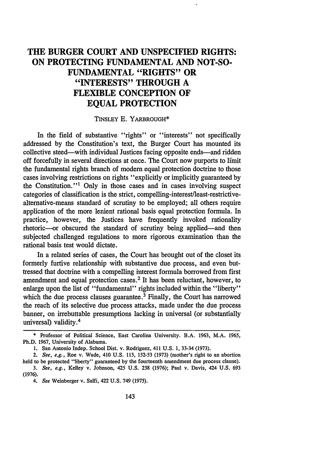# **THE BURGER COURT AND UNSPECIFIED RIGHTS: ON PROTECTING FUNDAMENTAL AND NOT-SO-FUNDAMENTAL "RIGHTS" OR "INTERESTS" THROUGH A FLEXIBLE CONCEPTION OF EQUAL PROTECTION**

## TINSLEY E. YARBROUGH\*

In the field of substantive "rights" or "interests" not specifically addressed by the Constitution's text, the Burger Court has mounted its collective steed—with individual Justices facing opposite ends—and ridden off forcefully in several directions at once. The Court now purports to limit the fundamental rights branch of modern equal protection doctrine to those cases involving restrictions on rights "explicitly or implicitly guaranteed by the Constitution."<sup>1</sup> Only in those cases and in cases involving suspect categories of classification is the strict, compelling-interest/least-restrictivealternative-means standard of scrutiny to be employed; all others require application of the more lenient rational basis equal protection formula. In practice, however, the Justices have frequently invoked rationality rhetoric—or obscured the standard of scrutiny being applied—and then subjected challenged regulations to more rigorous examination than the rational basis test would dictate.

In a related series of cases, the Court has brought out of the closet its formerly furtive relationship with substantive due process, and even buttressed that doctrine with a compelling interest formula borrowed from first amendment and equal protection cases.<sup>2</sup> It has been reluctant, however, to enlarge upon the list of "fundamental" rights included within the "liberty" which the due process clauses guarantee.<sup>3</sup> Finally, the Court has narrowed the reach of its selective due process attacks, made under the due process banner, on irrebuttable presumptions lacking in universal (or substantially universal) validity. <sup>4</sup>

**(1976).**

<sup>\*</sup> Professor of Political Science, East Carolina University. B.A. 1963, M.A. 1965, Ph.D. 1967, University of Alabama.

I. San Antonio Indep. School Dist. v. Rodriguez, 411 U.S. **1,** 33-34 (1973).

*<sup>2.</sup> See, e.g.,* Roe v. Wade, 410 U.S. 113, 152-53 (1973) (mother's right to an abortion held to be protected "liberty" guaranteed by the fourteenth amendment due process clause). *3. See, e.g.,* Kelley v. Johnson, 425 U.S. 238 (1976); Paul v. Davis, 424 U.S. 693

*<sup>4.</sup> See* Weinberger v. Salfi, 422 U.S. 749 (1975).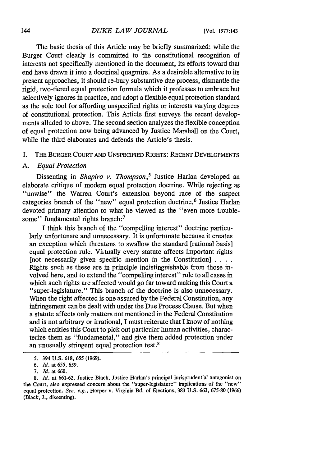The basic thesis of this Article may be briefly summarized: while the Burger Court clearly is committed to the constitutional recognition of interests not specifically mentioned in the document, its efforts toward that end have drawn it into a doctrinal quagmire. As a desirable alternative to its present approaches, it should re-bury substantive due process, dismantle the rigid, two-tiered equal protection formula which it professes to embrace but selectively ignores in practice, and adopt a flexible equal protection standard as the sole tool for affording unspecified rights or interests varying degrees of constitutional protection. This Article first surveys the recent developments alluded to above. The second section analyzes the flexible conception of equal protection now being advanced by Justice Marshall on the Court, while the third elaborates and defends the Article's thesis.

## I. THE BURGER COURT AND UNSPECIFIED RIGHTS: RECENT DEVELOPMENTS

## *A. Equal Protection*

Dissenting in *Shapiro v. Thompson*,<sup>5</sup> Justice Harlan developed an elaborate critique of modern equal protection doctrine. While rejecting as "unwise" the Warren Court's extension beyond race of the suspect categories branch of the "new" equal protection doctrine,<sup>6</sup> Justice Harlan devoted primary attention to what he viewed as the "even more troublesome" fundamental rights branch:<sup>7</sup>

I think this branch of the "compelling interest" doctrine particularly unfortunate and unnecessary. It is unfortunate because it creates an exception which threatens to swallow the standard [rational basis] equal protection rule. Virtually every statute affects important rights [not necessarily given specific mention in the Constitution] **....** Rights such as these are in principle indistinguishable from those involved here, and to extend the "compelling interest" rule to all cases in which such rights are affected would go far toward making this Court a "super-legislature." This branch of the doctrine is also unnecessary. When the right affected is one assured by the Federal Constitution, any infringement can be dealt with under the Due Process Clause. But when a statute affects only matters not mentioned in the Federal Constitution and is not arbitrary or irrational, I must reiterate that I know of nothing which entitles this Court to pick out particular human activities, characterize them as "fundamental," and give them added protection under an unusually stringent equal protection test. $8$ 

<sup>5. 394</sup> U.S. 618, 655 (1969).

*<sup>6.</sup> Id.* at *655,* 659.

*<sup>7.</sup> Id.* at 660.

<sup>8.</sup> *Id.* at 661-62. Justice Black, Justice Harlan's principal jurisprudential antagonist on the Court, also expressed concern about the "super-legislature" implications of the "new" equal protection. *See, e.g.,* Harper v. Virginia Bd. of Elections, 383 **U.S.** 663, 675-80 (1966) (Black, J., dissenting).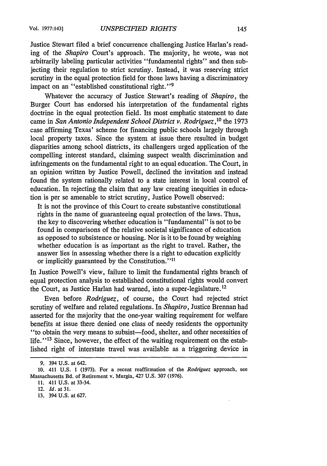Justice Stewart filed a brief concurrence challenging Justice Harlan's reading of the *Shapiro* Court's approach. The majority, he wrote, was not arbitrarily labeling particular activities "fundamental rights" and then subjecting their regulation to strict scrutiny. Instead, it was reserving strict scrutiny in the equal protection field for those laws having a discriminatory impact on an "established constitutional right."<sup>9</sup>

Whatever the accuracy of Justice Stewart's reading of *Shapiro,* the Burger Court has endorsed his interpretation of the fundamental rights doctrine in the equal protection field. Its most emphatic statement to date came in *San Antonio Independent School District v. Rodriguez,10* the 1973 case affirming Texas' scheme for financing public schools largely through local property taxes. Since the system at issue there resulted in budget disparities among school districts, its challengers urged application of the compelling interest standard, claiming suspect wealth discrimination and infringements on the fundamental right to an equal education. The Court, in an opinion written by Justice Powell, declined the invitation and instead found the system rationally related to a state interest in local control of education. In rejecting the claim that any law creating inequities in education is per se amenable to strict scrutiny, Justice Powell observed:

It is not the province of this Court to create substantive constitutional rights in the name of guaranteeing equal protection of the laws. Thus, the key to discovering whether education is "fundamental" is not to be found in comparisons of the relative societal significance of education as opposed to subsistence or housing. Nor is it to be found by weighing whether education is as important as the right to travel. Rather, the answer lies in assessing whether there is a right to education explicitly or implicitly guaranteed by the Constitution."<sup>11</sup>

In Justice Powell's view, failure to limit the fundamental rights branch of equal protection analysis to established constitutional rights would convert the Court, as Justice Harlan had warned, into a super-legislature.12

Even before *Rodriguez,* of course, the Court had rejected strict scrutiny of welfare and related regulations. In *Shapiro,* Justice Brennan had asserted for the majority that the one-year waiting requirement for welfare benefits at issue there denied one class of needy residents the opportunity "to obtain the very means to subsist-food, shelter, and other necessities of life. $113$  Since, however, the effect of the waiting requirement on the established right of interstate travel was available as a triggering device in

13. 394 U.S. at 627.

<sup>9. 394</sup> U.S. at 642.

<sup>10. 411</sup> U.S. 1 (1973). For a recent reaffirmation of the *Rodriguez* approach, see Massachusetts Bd. of Retirement v. Murgia, 427 U.S. 307 (1976).

<sup>11. 411</sup> U.S. at 33-34.

<sup>12.</sup> Id. at 31.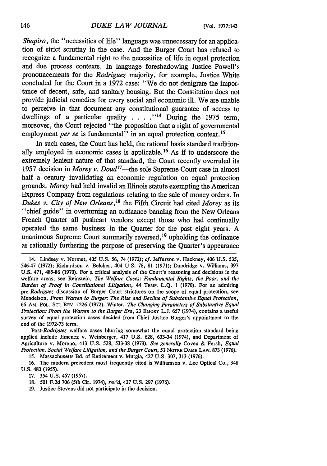*Shapiro*, the "necessities of life" language was unnecessary for an application of strict scrutiny in the case. And the Burger Court has refused to recognize a fundamental right to the necessities of life in equal protection and due process contexts. In language foreshadowing Justice Powell's pronouncements for the *Rodriguez* majority, for example, Justice White concluded for the Court in a 1972 case: "We do not denigrate the importance of decent, safe, and sanitary housing. But the Constitution does not provide judicial remedies for every social and economic ill. We are unable to perceive in that document any constitutional guarantee of access to dwellings of a particular quality . . . .<sup>14</sup> During the 1975 term, moreover, the Court rejected "the proposition that a right of governmental employment *per se* is fundamental" in an equal protection context.<sup>15</sup>

In such cases, the Court has held, the rational basis standard traditionally employed in economic cases is applicable. 16 As if to underscore the extremely lenient nature of that standard, the Court recently overruled its 1957 decision in *Morey v. Doud17 -the* sole Supreme Court case in almost half a century invalidating an economic regulation on equal protection grounds. *Morey* had held invalid an Illinois statute exempting the American Express Company from regulations relating to the sale of money orders. In *Dukes v. City of New Orleans,18* the Fifth Circuit had cited *Morey* as its "chief guide" in overturning an ordinance banning from the New Orleans French Quarter all pushcart vendors except those who had continually operated the same business in the Quarter for the past eight years. A unanimous Supreme Court summarily reversed,<sup>19</sup> upholding the ordinance as rationally furthering the purpose of preserving the Quarter's appearance

14. Lindsey v. Normet, 405 U.S. 56, 74 (1972); *cf.* Jefferson v. Hackney, 406 U.S. 535, 546-47 (1972); Richardson v. Belcher, 404 U.S. 78, 81 (1971); Dandridge v. Williams, 397 U.S. 471, 485-86 (1970). For a critical analysis of the Court's reasoning and decisions in the welfare areas, see Reinstein, *The Welfare Cases: Fundamental Rights, the Poor, and the Burden of Proof in Constitutional Litigation,* 44 TEMP. **L.Q. 1 (1970).** For an admiring *pre-Rodriguez* discussion of Burger Court strictures on the scope of equal protection, see Mendelson, *From Warren to Burger: The Rise and Decline of Substantive Equal Protection,* 66 AM. POL. Sci. REV. 1226 (1972). Winter, *The Changing Parameters of Substantive Equal Protection: From the Warren to the Burger Era,* 23 EMORY L.J. 657 (1974), contains a useful survey of equal protection cases decided from Chief Justice Burger's appointment to the end of the 1972-73 term.

*Post-Rodriguez* welfare cases blurring somewhat the equal protection standard being applied include Jimenez v. Weinberger, 417 U.S. 628, 633-34 (1974), and Department of Agriculture v. Moreno, 413 U.S. 528, 533-38 (1973). *See generally* Coven & Fersh, *Equal Protection, Social Welfare Litigation, and the Burger Court, 51* NOTRE DAME LAW. **873** (1976).

15. Massachusetts Bd. of Retirement v. Murgia, 427 U.S. 307, 313 (1976).

16. The modem precedent most frequently cited is Williamson v. Lee Optical Co., 348 U.S. 483 (1955).

17. 354 U.S. 457 (1957).

18. 501 F.2d 706 (5th Cir. 1974), *rev'd,* 427 U.S. 297 (1976).

19. Justice Stevens did not participate in the decision.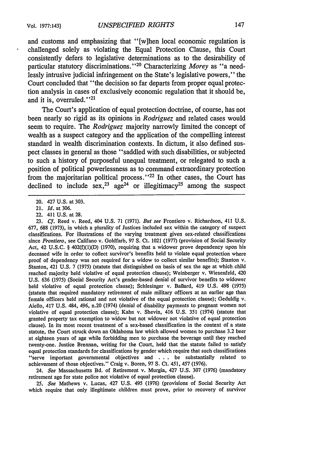and customs and emphasizing that "[w]hen local economic regulation is challenged solely as violating the Equal Protection Clause, this Court consistently defers to legislative determinations as to the desirability of particular statutory discriminations."<sup>20</sup> Characterizing *Morey* as "a needlessly intrusive judicial infringement on the State's legislative powers," the Court concluded that "the decision so far departs from proper equal protection analysis in cases of exclusively economic regulation that it should be, and it is, overruled."<sup>21</sup>

The Court's application of equal protection doctrine, of course, has not been nearly so rigid as its opinions in *Rodriguez* and related cases would seem to require. The *Rodriguez* majority narrowly limited the concept of wealth as a suspect category and the application of the compelling interest standard in wealth discrimination contexts. In dictum, it also defined suspect classes in general as those "saddled with such disabilities, or subjected to such a history of purposeful unequal treatment, or relegated to such a position of political powerlessness as to command extraordinary protection from the majoritarian political process."<sup>22</sup> In other cases, the Court has declined to include  $sex<sub>1</sub><sup>23</sup> age<sup>24</sup>$  or illegitimacy<sup>25</sup> among the suspect

24. *See* Massachusetts Bd. of Retirement v. Murgia, 427 U.S. 307 (1976) (mandatory retirement age for state police not violative of equal protection clause).

25. *See* Mathews v. Lucas, 427 U.S. 495 (1976) (provisions of Social Security Act which require that only illegitimate children must prove, prior to recovery of survivor

<sup>20. 427</sup> U.S. at 303.

<sup>21.</sup> *Id.* at 306.

<sup>22. 411</sup> U.S. at 28.

<sup>23.</sup> *Cf.* Reed v. Reed, 404 U.S. 71 (1971). *But see* Frontiero v. Richardson, 411 U.S. 677, 688 (1973), in which a plurality of Justices included sex within the category of suspect classifications. For illustrations of the varying treatment given sex-related classifications since *Frontiero,* see Califano v. Goldfarb, 97 S. Ct. 1021 (1977) (provision of Social Security Act, 42 U.S.C. § 402(f)(1)(D) (1970), requiring that a widower prove dependency upon his deceased wife in order to collect survivor's benefits held to violate equal protection where proof of dependency was not required for a widow to collect similar benefits); Stanton v. Stanton, 421 U.S. 7 (1975) (statute that distinguished on basis of sex the age at which child reached majority held violative of equal protection clause); Weinberger v. Wiesenfeld, 420 U.S. 636 (1975) (Social Security Act's gender-based denial of survivor benefits to widower held violative of equal protection clause); Schlesinger v. Ballard, 419 U.S. 498 (1975) (statute that required mandatory retirement of male military officers at an earlier age than female officers held rational and not violative of the equal protection clause); Geduldig v. Aiello, 417 U.S. 484, 496, n.20 (1974) (denial of disability payments to pregnant women not violative of equal protection clause); Kahn v. Shevin, 416 U.S. 351 (1974) (statute that granted property tax exemption to widow but not widower not violative of equal protection clause). In its most recent treatment of a sex-based classification in the context of a state statute, the Court struck down an Oklahoma law which allowed women to purchase 3.2 beer at eighteen years of age while forbidding men to purchase the beverage until they reached twenty-one. Justice Brennan, writing for the Court, held that the statute failed to satisfy equal protection standards for classifications by gender which require that such classifications "serve important governmental objectives and . .. be substantially related to achievement of those objectives." Craig v. Boren, 97 **S.** Ct. 451, 457 (1976).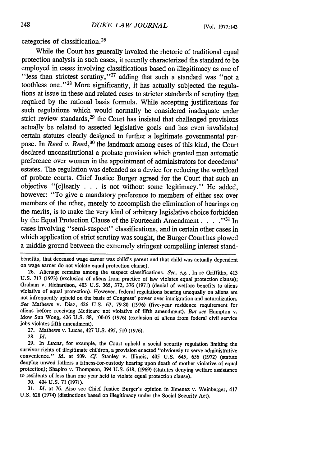categories of classification. <sup>26</sup>

While the Court has generally invoked the rhetoric of traditional equal protection analysis in such cases, it recently characterized the standard to be employed in cases involving classifications based on illegitimacy as one of "less than strictest scrutiny,"<sup>27</sup> adding that such a standard was "not a toothless one."<sup>28</sup> More significantly, it has actually subjected the regulations at issue in these and related cases to stricter standards of scrutiny than required by the rational basis formula. While accepting justifications for such regulations which would normally be considered inadequate under strict review standards,  $29$  the Court has insisted that challenged provisions actually be related to asserted legislative goals and has even invalidated certain statutes clearly designed to further a legitimate governmental purpose. In *Reed v. Reed*,<sup>30</sup> the landmark among cases of this kind, the Court declared unconstitutional a probate provision which granted men automatic preference over women in the appointment of administrators for decedents' estates. The regulation was defended as a device for reducing the workload of probate courts. Chief Justice Burger agreed for the Court that such an objective "[c]learly . . . is not without some legitimacy." He added, however: "To give a mandatory preference to members of either sex over members of the other, merely to accomplish the elimination of hearings on the merits, is to make the very kind of arbitrary legislative choice forbidden by the Equal Protection Clause of the Fourteenth Amendment **... ."I'** In cases involving "semi-suspect" classifications, and in certain other cases in which application of strict scrutiny was sought, the Burger Court has plowed a middle ground between the extremely stringent compelling interest stand-

benefits, that deceased wage earner was child's parent and that child was actually dependent on wage earner do not violate equal protection clause).

26. Alienage remains among the suspect classifications. *See, e.g.,* In re Griffiths, 413 U.S. 717 (1973) (exclusion of aliens from practice of law violates equal protection clause); Graham v. Richardson, 403 U.S. 365, 372, 376 (1971) (denial of welfare benefits to aliens violative of equal protection). However, federal regulations bearing unequally on aliens are not infrequently upheld on the basis of Congress' power over immigration and naturalization. *See* Mathews v. Diaz, 426 U.S. 67, 79-80 (1976) (five-year residence requirement for aliens before receiving Medicare not violative of fifth amendment). *But see* Hampton v. Mow Sun Wong, 426 U.S. 88, 100-05 (1976) (exclusion of aliens from federal civil service jobs violates fifth amendment).

27. Mathews v. Lucas, 427 U.S. 495, 510 (1976).

**28.** *Id.*

**29.** In *Lucas,* for example, the Court upheld a social security regulation limiting the survivor rights of illegitimate children, a provision enacted "obviously to serve administrative convenience." *Id.* at **509.** *Cf.* Stanley v. Illinois, 405 **U.S.** 645, **656 (1972)** (statute denying unwed fathers a fitness-for-custody hearing upon death of mother violative of equal protection); Shapiro v. Thompson, 394 **U.S. 618, (1969)** (statutes denying welfare assistance to residents of less than one year held to violate equal protection clause).

**30.** 404 **U.S. 71 (1971).**

**31.** *Id.* at **76.** Also see Chief Justice Burger's opinion in Jimenez v. Weinberger, 417 **U.S. 628** (1974) (distinctions based on illegitimacy under the Social Security Act).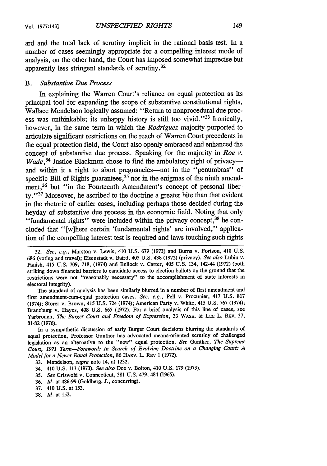ard and the total lack of scrutiny implicit in the rational basis test. In a number of cases seemingly appropriate for a compelling interest mode of analysis, on the other hand, the Court has imposed somewhat imprecise but apparently less stringent standards of scrutiny. <sup>32</sup>

## *B. Substantive Due Process*

In explaining the Warren Court's reliance on equal protection as its principal tool for expanding the scope of substantive constitutional rights, Wallace Mendelson logically assumed: "Return to nonprocedural due process was unthinkable; its unhappy history is still too vivid."<sup>33</sup> Ironically, however, in the same term in which the *Rodriguez* majority purported to articulate significant restrictions on the reach of Warren Court precedents in the equal protection field, the Court also openly embraced and enhanced the concept of substantive due process. Speaking for the majority in *Roe v. Wade* , 34 Justice Blackmun chose to find the ambulatory right of privacyand within it a right to abort pregnancies—not in the "penumbras" of specific Bill of Rights guarantees,  $35$  nor in the enigmas of the ninth amendment,<sup>36</sup> but "in the Fourteenth Amendment's concept of personal liberty."<sup>37</sup> Moreover, he ascribed to the doctrine a greater bite than that evident in the rhetoric of earlier cases, including perhaps those decided during the heyday of substantive due process in the economic field. Noting that only "fundamental rights" were included within the privacy concept,<sup>38</sup> he concluded that "[w]here certain 'fundamental rights' are involved," application of the compelling interest test is required and laws touching such rights

The standard of analysis has been similarly blurred in a number of first amendment and first amendment-cum-equal protection cases. *See, e.g.,* Pell v. Procunier, 417 U.S. 817 (1974); Storer v. Brown, 415 U.S. 724 (1974); American Party v. White, 415 U.S. 767 (1974); Branzburg v. Hayes, 408 U.S. 665 (1972). For a brief analysis of this line of cases, see Yarbrough, *The Burger Court and Freedom of Expression,* 33 WASH. & **LEE** L. REv. 37, 81-82 (1976).

In a sympathetic discussion of early Burger Court decisions blurring the standards of equal protection, Professor Gunther has advocated means-oriented scrutiny of challenged legislation as an alternative to the "new" equal protection. *See* Gunther, *The Supreme Court, 1971 Term-Foreword: In Search of Evolving Doctrine on a Changing Court: A Model for a Newer Equal Protection,* 86 HARv. L. REV 1 (1972).

- 33. Mendelson, *supra* note 14, at 1232.
- 34. 410 U.S. 113 (1973). *See also* Doe v. Bolton, 410 U.S. **179** (1973).
- *35. See* Griswold v. Connecticut, 381 U.S. 479, 484 (1965).
- **36.** *Id.* at 486-99 (Goldberg, **J.,** concurring).
- 37. 410 U.S. at 153.
- 38. *Id.* at 152.

<sup>32.</sup> *See, e.g.,* Marston v. Lewis, 410 U.S. 679 (1973) and Burns v. Fortson, 410 U.S. 686 (voting and travel); Eisenstadt v. Baird, 405 U.S. 438 (1972) (privacy). *See also* Lubin v. Panish, 415 U.S. 709, 718, (1974) and Bullock v. Carter, 405 U.S. 134, 142-44 (1972) (both striking down financial barriers to candidate access to election ballots on the ground that the restrictions were not "reasonably necessary" to the accomplishment of state interests in electoral integrity).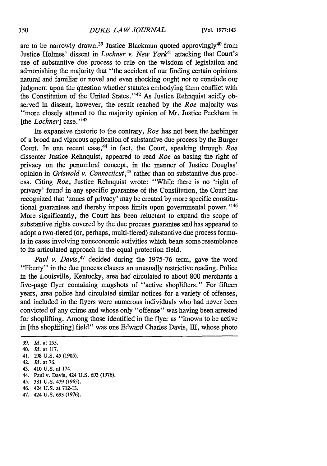are to be narrowly drawn.<sup>39</sup> Justice Blackmun quoted approvingly<sup>40</sup> from Justice Holmes' dissent in *Lochner v. New York4l* attacking that Court's use of substantive due process to rule on the wisdom of legislation and admonishing the majority that "the accident of our finding certain opinions natural and familiar or novel and even shocking ought not to conclude our judgment upon the question whether statutes embodying them conflict with the Constitution of the Umited States."<sup>42</sup> As Justice Rehnquist acidly observed in dissent, however, the result reached by the *Roe* majority was "more closely attuned to the majority opinion of Mr. Justice Peckham in [the *Lochner*] case."<sup>43</sup>

Its expansive rhetoric to the contrary, *Roe* has not been the harbinger of a broad and vigorous application of substantive due process by the Burger Court. In one recent case, 44 in fact, the Court, speaking through *Roe* dissenter Justice Rehnquist, appeared to read *Roe* as basing the right of privacy on the penumbral concept, in the manner of Justice Douglas' opinion in *Griswold v. Connecticut*,<sup>45</sup> rather than on substantive due process. Citing *Roe,* Justice Rehnquist wrote: "While there is no 'right of privacy' found in any specific guarantee of the Constitution, the Court has recognized that 'zones of privacy' may be created by more specific constitutional guarantees and thereby impose limits upon governmental power."<sup>46</sup> More significantly, the Court has been reluctant to expand the scope of substantive rights covered by the due process guarantee and has appeared to adopt a two-tiered (or, perhaps, multi-tiered) substantive due process formula in cases involving noneconomic activities which bears some resemblance to its articulated approach in the equal protection field.

Paul v. Davis,<sup>47</sup> decided during the 1975-76 term, gave the word "liberty" in the due process clauses an unusually restrictive reading. Police in the Louisville, Kentucky, area had circulated to about 800 merchants a five-page flyer containing mugshots of "active shoplifters." For fifteen years, area police had circulated similar notices for a variety of offenses, and included in the flyers were numerous individuals who had never been convicted of any crime and whose only "offense" was having been arrested for shoplifting. Among those identified in the flyer as "known to be active in [the shoplifting] field" was one Edward Charles Davis, III, whose photo

- 46. 424 U.S. at 712-13.
- 47. 424 U.S. 693 (1976).

<sup>39.</sup> *Id.* at **155.**

<sup>40.</sup> *Id.* at 117.

<sup>41. 198</sup> U.S. 45 **(1905).**

<sup>42.</sup> *Id.* at 76.

<sup>43. 410</sup> U.S. at 174.

<sup>44.</sup> Paul v. Davis, 424 U.S. 693 (1976).

*<sup>45.</sup>* 381 U.S. 479 (1965).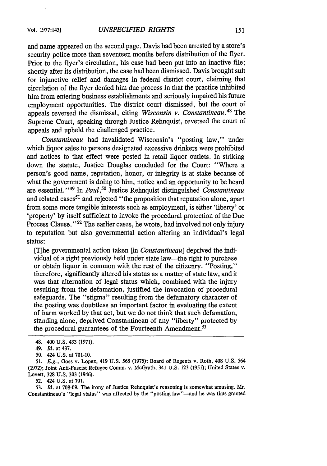and name appeared on the second page. Davis had been arrested by a store's security police more than seventeen months before distribution of the flyer. Prior to the flyer's circulation, his case had been put into an inactive file; shortly after its distribution, the case had been dismissed. Davis brought suit for injunctive relief and damages in federal district court, claiming that circulation of the flyer denied him due process in that the practice inhibited him from entering business establishments and seriously impaired his future employment opportunities. The district court dismissed, but the court of appeals reversed the dismissal, citing *Wisconsin v. Constantineau*.<sup>48</sup> The Supreme Court, speaking through Justice Rehnquist, reversed the court of appeals and upheld the challenged practice.

*Constantineau* had invalidated Wisconsin's "posting law," under which liquor sales to persons designated excessive drinkers were prohibited and notices to that effect were posted in retail liquor outlets. In striking down the statute, Justice Douglas concluded for the Court: "Where a person's good name, reputation, honor, or integrity is at stake because of what the government is doing to him, notice and an opportunity to be heard are essential."<sup>49</sup> In *Paul*,<sup>50</sup> Justice Rehnquist distinguished *Constantineau* and related cases<sup>51</sup> and rejected "the proposition that reputation alone, apart from some more tangible interests such as employment, is either 'liberty' or 'property' by itself sufficient to invoke the procedural protection of the Due Process Clause."<sup>52</sup> The earlier cases, he wrote, had involved not only injury to reputation but also governmental action altering an individual's legal status:

[Ihe governmental action taken [in *Constantineau]* deprived the individual of a right previously held under state law-the right to purchase or obtain liquor in common with the rest of the citizenry. "Posting," therefore, significantly altered his status as a matter of state law, and it was that alternation of legal status which, combined with the injury resulting from the defamation, justified the invocation of procedural safeguards. The "stigma" resulting from the defamatory character of the posting was doubtless an important factor in evaluating the extent of harm worked by that act, but we do not think that such defamation, standing alone, deprived Constantineau of any "liberty" protected by the procedural guarantees of the Fourteenth Amendment.<sup>53</sup>

52. 424 U.S. at **701.**

53. *Id.* at 708-09. The irony of Justice Rehnquist's reasoning is somewhat amusing. Mr. Constantineau's "legal status" was affected by the "posting law"--and he was thus granted

<sup>48. 400</sup> U.S. 433 (1971).

<sup>49.</sup> Id. at 437.

<sup>50.</sup> 424 U.S. at 701-10.

*<sup>51.</sup> E.g.,* Goss v. Lopez, 419 U.S. 565 (1975); Board of Regents v. Roth, 408 U.S. 564 (1972); Joint Anti-Fascist Refugee Comm. v. McGrath, 341 U.S. 123 (1951); United States v. Lovett, 328 U.S. 303 (1946).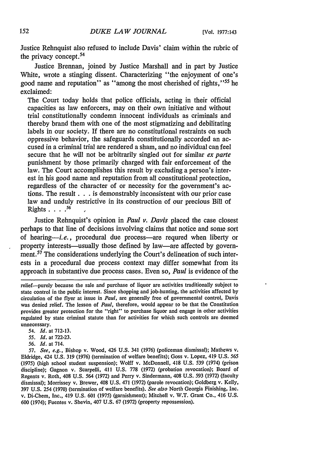Justice Rehnquist also refused to include Davis' claim within the rubric of the privacy concept.<sup>54</sup>

Justice Brennan, joined by Justice Marshall and in part by Justice White, wrote a stinging dissent. Characterizing "the enjoyment of one's good name and reputation" as "among the most cherished of rights,"55 he exclaimed:

The Court today holds that police officials, acting in their official capacities as law enforcers, may on their own initiative and without trial constitutionally condemn innocent individuals as criminals and thereby brand them with one of the most stigmatizing and debilitating labels in our society. If there are no constitutional restraints on such oppressive behavior, the safeguards constitutionally accorded an accused in a criminal trial are rendered a sham, and no individual can feel secure that he will not be arbitrarily singled out for similar *ex parte* punishment by those primarily charged with fair enforcement of the law. The Court accomplishes this result by excluding a person's interest in his good name and reputation from all constitutional protection, regardless of the character of or necessity for the government's actions. The result **. . .** is demonstrably inconsistent with our prior case law and unduly restrictive in its construction of our precious Bill of Rights **....** *56 ,*

Justice Rehnquist's opinion in *Paul v. Davis* placed the case closest perhaps to that line of decisions involving claims that notice and some sort of hearing-i.e., procedural due process-are requred when liberty or property interests—usually those defined by law—are affected by government.<sup>57</sup> The considerations underlying the Court's delineation of such interests in a procedural due process context may differ somewhat from its approach in substantive due process cases. Even so, *Paul* is evidence of the

- *54. Id.* at 712-13.
- *55. Id.* at 722-23.
- *56. Id.* at 714.

*57. See, e.g.,* Bishop v. Wood, 426 U.S. 341 (1976) (policeman dismissal); Mathews v. Eldridge, 424 U.S. 319 (1976) (termination of welfare benefits); Goss v. Lopez, 419 U.S. *565* (1975) (high school student suspension); Wolff v. McDonnell, 418 U.S. 539 (1974) (prison discipline); Gagnon v. Scarpelli, 411 U.S. 778 (1972) (probation revocation); Board of Regents v. Roth, 408 U.S. 564 (1972) and Perry v. Sindermann, 408 U.S. 593 (1972) (faculty dismissal); Morrissey v. Brewer, 408 U.S. 471 (1972) (parole revocation); Goldberg v. Kelly, 397 U.S. 254 (1970) (termination of welfare benefits). *See also* North Georgia Finishing, Inc. v. Di-Chem, Inc., 419 U.S. 601 (1975) (garnishment); Mitchell v. W.T. Grant Co., 416 U.S. 600 (1974); Fuentes v. Shevin, 407 U.S. 67 (1972) (property repossession).

relief-purely because the sale and purchase of liquor are activities traditionally subject to state control in the public interest. Since shopping and job-hunting, the activities affected by circulation of the flyer at issue in *Paul,* are generally free of governmental control, Davis was denied relief. The lesson of *Paul,* therefore, would appear to be that the Constitution provides greater protection for the "right" to purchase liquor and engage in other activities regulated by state criminal statute than for activities for which such controls are deemed unnecessary.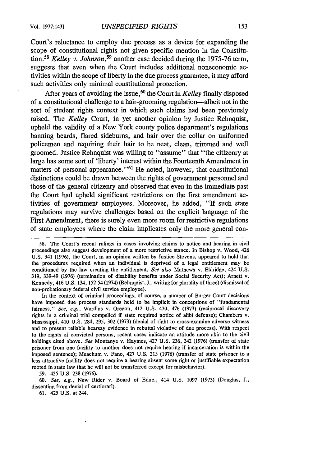Court's reluctance to employ due process as a device for expanding the scope of constitutional rights not given specific mention in the Constitution.<sup>58</sup> Kelley v. Johnson,<sup>59</sup> another case decided during the 1975-76 term, suggests that even when the Court includes additional noneconomic activities within the scope of liberty in the due process guarantee, it may afford such activities only minimal constitutional protection.

After years of avoiding the issue,<sup>60</sup> the Court in *Kelley* finally disposed of a constitutional challenge to a hair-grooming regulation-albeit not in the sort of student rights context in which such claims had been previously raised. The *Kelley* Court, in yet another opinion by Justice Rehnquist, upheld the validity of a New York county police department's regulations banning beards, flared sideburns, and hair over the collar on uniformed policemen and requiring their hair to be neat, clean, trimmed and well groomed. Justice Rehnquist was willing to "assume" that "the citizenry at large has some sort of 'liberty' interest within the Fourteenth Amendment in matters of personal appearance."<sup>61</sup> He noted, however, that constitutional distinctions could be drawn between the rights of government personnel and those of the general citizenry and observed that even in the immediate past the Court had upheld significant restrictions on the first amendment activities of government employees. Moreover, he added, "If such state regulations may survive challenges based on the explicit language of the First Amendment, there is surely even more room for restrictive regulations of state employees where the claim implicates only the more general con-

In the context of criminal proceedings, of course, a number of Burger Court decisions have imposed due process standards held to be implicit in conceptions of "fundamental fairness." See, e.g., Wardius v. Oregon, 412 U.S. 470, 476 (1973) (reciprocal discovery rights in a criminal trial compelled if state required notice of alibi defense); Chambers v. Mississippi, 410 U.S. 284, 295, 302 (1973) (denial of right to cross-examine adverse witness and to present reliable hearsay evidence in rebuttal violative of due process). With respect to the rights of convicted persons, recent cases indicate an attitude more akin to the civil holdings cited above. *See* Montanye v. Haymes, 427 U.S. 236, 242 (1976) (transfer of state prisoner from one facility to another does not require hearing if incarceration is within the imposed sentence); Meachum v. Fano, 427 U.S. 215 (1976) (transfer of state prisoner to a less attractive facility does not require a hearing absent some right or justifiable expectation rooted in state law that he will not be transferred except for misbehavior).

59. 425 U.S. 238 (1976).

60. *See, e.g.,* New Rider v. Board of Educ., 414 U.S. 1097 (1973) (Douglas, J., dissenting from denial of certiorari).

**61.** 425 **U.S.** at 244.

<sup>58.</sup> The Court's recent rulings in cases involving claims to notice and hearing in civil proceedings also suggest development of a more restrictive stance. In Bishop v. Wood, 426 U.S. 341 (1976), the Court, in an opinion written by Justice Stevens, appeared to hold that the procedures required when an individual is deprived of a legal entitlement may be conditioned by the law creating the entitlement. *See also* Mathews v. Eldridge, 424 U.S. 319, 339-49 (1976) (termination of disability benefits under Social Security Act); Arnett v. Kennedy, 416 U.S. 134, 152-54 (1974) (Rehnquist, J., writing for plurality of three) (dismissal of non-probationary federal civil service employee).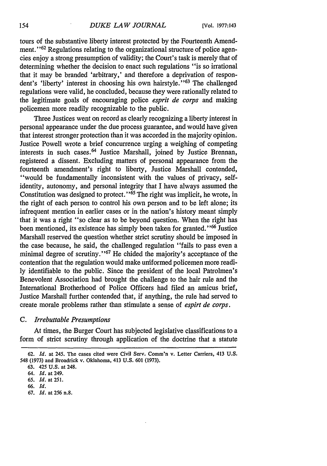tours of the substantive liberty interest protected by the Fourteenth Amendment."<sup>62</sup> Regulations relating to the organizational structure of police agencies enjoy a strong presumption of validity; the Court's task is merely that of determining whether the decision to enact such regulations "is so irrational that it may be branded 'arbitrary,' and therefore a deprivation of respondent's 'liberty' interest in choosing his own hairstyle."<sup>63</sup> The challenged regulations were valid, he concluded, because they were rationally related to the legitimate goals of encouraging police *esprit de corps* and making policemen more readily recognizable to the public.

Three Justices went on record as clearly recognizing a liberty interest in personal appearance under the due process guarantee, and would have given that interest stronger protection than it was accorded in the majority opinion. Justice Powell wrote a brief concurrence urging a weighing of competing interests in such cases. 64 Justice Marshall, joined by Justice Brennan, registered a dissent. Excluding matters of personal appearance from the fourteenth amendment's right to liberty, Justice Marshall contended, "would be fundamentally inconsistent with the values of privacy, selfidentity, autonomy, and personal integrity that I have always assumed the Constitution was designed to protect." $\frac{65}{65}$  The right was implicit, he wrote, in the right of each person to control his own person and to be left alone; its infrequent mention in earlier cases or in the nation's history meant simply that it was a right "so clear as to be beyond question. When the right has been mentioned, its existence has simply been taken for granted.<sup>'66</sup> Justice Marshall reserved the question whether strict scrutiny should be imposed in the case because, he said, the challenged regulation "fails to pass even a minimal degree of scrutiny."<sup>67</sup> He chided the majority's acceptance of the contention that the regulation would make uniformed policemen more readily identifiable to the public. Since the president of the local Patrolmen's Benevolent Association had brought the challenge to the hair rule and the International Brotherhood of Police Officers had filed an amicus brief, Justice Marshall further contended that, if anything, the rule had served to create morale problems rather than stimulate a sense of *espirt de corps.*

# *C. Irrebuttable Presumptions*

At times, the Burger Court has subjected legislative classifications to a form of strict scrutiny through application of the doctrine that a statute

- **66.** *Id.*
- 67. *Id.* at **256** n.8.

<sup>62.</sup> *Id.* at 245. The cases cited were Civil Serv. Comm'n v. Letter Carriers, 413 U.S. 548 (1973) and Broadrick v. Oklahoma, 413 U.S. 601 (1973).

<sup>63. 425</sup> U.S. at 248.

<sup>64.</sup> *Id.* at 249.

**<sup>65.</sup>** *Id.* at 251.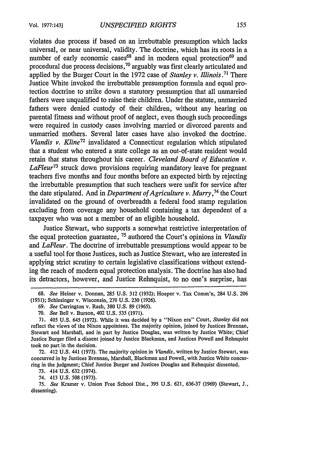violates due process if based on an irrebuttable presumption which lacks universal, or near universal, validity. The doctrine, which has its roots in a number of early economic cases<sup>68</sup> and in modern equal protection<sup>69</sup> and procedural due process decisions, 70 arguably was first clearly articulated and applied by the Burger Court in the 1972 case of *Stanley v. Illinois.71* There Justice White invoked the irrebuttable presumption formula and equal protection doctrine to strike down a statutory presumption that all unmarried fathers were unqualified to raise their children. Under the statute, unmarried fathers were denied custody of their children, without any hearing on parental fitness and without proof of neglect, even though such proceedings were required in custody cases involving married or divorced parents and unmarried mothers. Several later cases have also invoked the doctrine. *Vlandis v. Kline*<sup>72</sup> invalidated a Connecticut regulation which stipulated that a student who entered a state college as an out-of-state resident would retain that status throughout his career. *Cleveland Board of Education v. LaFleur73* struck down provisions requiring mandatory leave for pregnant teachers five months and four months before an expected birth by rejecting the irrebuttable presumption that such teachers were unfit for service after the date stipulated. And in *Department of Agriculture v. Murry,74* the Court invalidated on the ground of overbreadth a federal food stamp regulation excluding from coverage any household containing a tax dependent of a taxpayer who was not a member of an eligible household.

Justice Stewart, who supports a somewhat restrictive interpretation of the equal protection guarantee, **75** authored the Court's opinions in *Vlandis* and *LaFleur.* The doctrine of irrebuttable presumptions would appear to be a useful tool for those Justices, such as Justice Stewart, who are interested in applying strict scrutiny to certain legislative classifications without extending the reach of modern equal protection analysis. The doctrine has also had its detractors, however, and Justice Rehnquist, to no one's surprise, has

72. 412 U.S. 441 (1973). The majority opinion in *Vlandis,* written by Justice Stewart, was concurred in by Justices Brennan, Marshall, Blackmun and Powell, with Justice White concurring in the judgment; Chief Justice Burger and Justices Douglas and Rehnquist dissented.

73. 414 U.S. 632 (1974).

74. 413 U.S. 508 (1973).

75. *See* Kramer v. Union Free School Dist., 395 U.S. 621, 636-37 (1969) (Stewart, J., dissenting).

<sup>68.</sup> *See* Heiner v. Donnan, 285 U.S. 312 (1932); Hoeper v. Tax Comm'n, 284 U.S. 206 (1931); Schlesinger v. Wisconsin, 270 U.S. 230 (1926).

<sup>69.</sup> *See* Carrington v. Rash, 380 U.S. 89 (1965).

<sup>70.</sup> *See* Bell v. Burson, 402 U.S. 535 (1971).

<sup>71. 405</sup> U.S. 645 (1972). While it was decided by a "Nixon era" Court, *Stanley* did not reflect the views of the Nixon appointees. The majority opinion, joined by Justices Brennan, Stewart and Marshall, and in part by Justice Douglas, was written by Justice White; Chief Justice Burger filed a dissent joined by Justice Blackmun, and Justices Powell and Rehnquist took no part in the decision.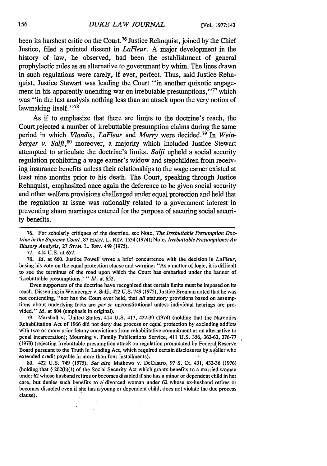been its harshest critic on the Court.<sup>76</sup> Justice Rehnquist, joined by the Chief Justice, filed a pointed dissent in *LaFleur.* A major development in the history of law, he observed, had been the establishment of general prophylactic rules as an alternative to government by whim. The lines drawn in such regulations were rarely, if ever, perfect. Thus, said Justice Rehnquist, Justice Stewart was leading the Court "in another quixotic engagement in his apparently unending war on irrebutable presumptions,"<sup>77</sup> which was "in the last analysis nothing less than an attack upon the very notion of lawmaking itself."<sup>78</sup>

As if to emphasize that there are limits to the doctrine's reach, the Court rejected a number of irrebuttable presumption claims during the same period in which *Vlandis, LaFleur and Murry* were decided. 79 In *Weinberger v. Salfi,80* moreover, a majority which included Justice Stewart attempted to articulate the doctrine's limits. *Salfi* upheld a social security regulation prohibiting a wage earner's widow and stepchildren from receiving insurance benefits unless their relationships to the wage earner existed at least nine months prior to his death. The Court, speaking through Justice Rehnquist, emphasized once again the deference to be given social security and other welfare provisions challenged under equal protection and held that the regulation at issue was rationally related to a government interest in preventing sham marriages entered for the purpose of securing social security benefits.

77. 414 U.S. at 657.

78. *Id.* at 660. Justice Powell wrote a brief concurrence with the decision in *LaFleur,* basing his vote on the equal protection clause and warning: "As a matter of logic, it is difficult to see the terminus of the road upon which the Court has embarked under the banner of 'irrebuttable presumptions.' " *Id.* at 652.

Even supporters of the doctrine have recognized that certain limits must be imposed on its reach. Dissenting in Weinberger v. Salfi, 422 U.S. 749 (1975), Justice Brennan noted that he was not contending, "nor has the Court ever held, that *all* statutory provisions based on assumptions about underlying facts are *per se* unconstitutional unless individual hearings are provided." *Id.* at 804 (emphasis in original).

79. Marshall v. United States, 414 U.S. 417, 422-30 (1974) (holding that the Narcotics Rehabilitation Act of 1966 did not deny due process or equal protection by excluding addicts with two or more prior felony convictions from rehabilitative commitment as an alternative to penal incarceration); Mourning v. Family Publications Service, 411 U.S. 356, 362-63, 376-77 (1973) (rejecting irrebuttable presumption attack on regulation promulated by Federal Reserve Board pursuant to the Truth in Lending Act, which required certain disclosures by a seller who extended credit payable in more than four installments).

80. 422 U.S. 749 (1975). *See also* Mathews v. DeCastro, 97 **S.** Ct. 431, 432-36 (1976) (holding that § 202(b)(1) of the Social Security Act which grants benefits to a married woman under 62 whose husband retires or becomes disabled if she has a minor or dependent child in her care, but denies such benefits to a' divorced woman under 62 whose ex-husband retires or becomes disabled even if she has aiyoung or dependent child, does not violate the due process clause). 

<sup>76.</sup> For scholarly critiques of the doctrine, see Note, *The Irrebuttable Presumption Doctrine in the Supreme Court,* 87 HARV. L. REV. 1534 (1974); Note, *Irrebuttable Presumptions: An Illusory Analysis,* 27 **STAN.** L. REV. 449 (1975).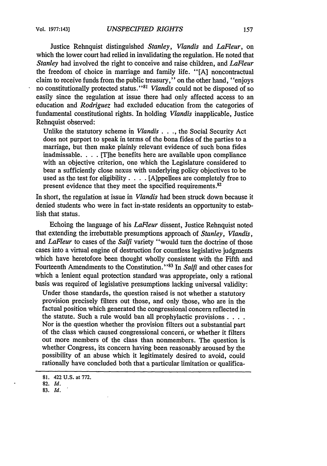Justice Rehnquist distinguished *Stanley, Vlandis and LaFleur,* on which the lower court had relied in invalidating the regulation. He noted that *Stanley* had involved the right to conceive and raise children, and *LaFleur* the freedom of choice in marriage and family life. "[A] noncontractual claim to receive funds from the public treasury," on the other hand, "enjoys no constitutionally protected status."81 *Vlandis* could not be disposed of so easily since the regulation at issue there had only affected access to an education and *Rodriguez* had excluded education from the categories of fundamental constitutional rights. In holding *Vlandis* inapplicable, Justice Rehnquist observed:

Unlike the statutory scheme in *Viandis ... ,* the Social Security Act does not purport to speak in terms of the bona fides of the parties to a marriage, but then make plainly relevant evidence of such bona fides inadmissable. . . . [T]he benefits here are available upon compliance with an objective criterion, one which the Legislature considered to bear a sufficiently close nexus with underlying policy objectives to be used as the test for eligibility. . **.** . [A]ppellees are completely free to present evidence that they meet the specified requirements.<sup>82</sup>

In short, the regulation at issue in *Vlandis* had been struck down because it denied students who were in fact in-state residents an opportunity to establish that status.

Echoing the language of his *LaFleur* dissent, Justice Rehnquist noted that extending the irrebuttable presumptions approach of *Stanley, Vlandis,* and *LaFleur* to cases of the *Salfi* variety "would turn the doctrine of those cases into a virtual engine of destruction for countless legislative judgments which have heretofore been thought wholly consistent with the Fifth and Fourteenth Amendments to the Constitution."<sup>83</sup> In *Salfi* and other cases for which a lenient equal protection standard was appropriate, only a rational basis was required of legislative presumptions lacking universal validity:

Under those standards, the question raised is not whether a statutory provision precisely filters out those, and only those, who are in the factual position which generated the congressional concern reflected in the statute. Such a rule would ban all prophylactic provisions **...** Nor is the question whether thp provision filters out a substantial part of the class which caused congressional concern, or whether it filters out more members of the class than nonmembers. The question is whether Congress, its concern having been reasonably aroused by the possibility of an abuse which it legitimately desired to avoid, could rationally have concluded both that a particular limitation or qualifica-

**<sup>81.</sup>** 422 U.S. at 772.

**<sup>82.</sup> Id.**

**<sup>83.</sup>** Id.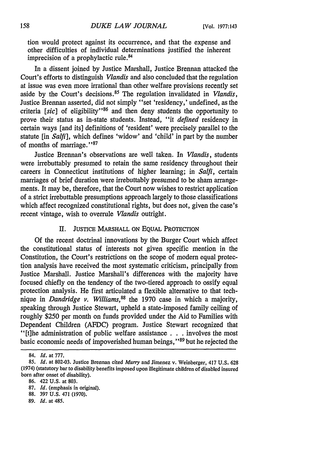tion would protect against its occurrence, and that the expense and other difficulties of individual determinations justified the inherent imprecision of a prophylactic rule.<sup>84</sup>

In a dissent joined by Justice Marshall, Justice Brennan attacked the Court's efforts to distinguish *Vlandis* and also concluded that the regulation at issue was even more irrational than other welfare provisions recently set aside by the Court's decisions.<sup>85</sup> The regulation invalidated in *Vlandis*, Justice Brennan asserted, did not simply "set 'residency,' undefined, as the criteria [sic] of eligibility<sup>'86</sup> and then deny students the opportunity to prove their status as in-state students. Instead, "it *defined* residency in certain ways [and its] definitions of 'resident' were precisely parallel to the statute [in *Salfi],* which defines 'widow' and 'child' in part by the number of months of marriage. **"87**

Justice Brennan's observations are well taken. In *Vlandis,* students were irrebuttably presumed to retain the same residency throughout their careers in Connecticut institutions of higher learning; in *Salfi,* certain marriages of brief duration were irrebuttably presumed to be sham arrangements. It may be, therefore, that the Court now wishes to restrict application of a strict irrebuttable presumptions approach largely to those classifications which affect recognized constitutional rights, but does not, given the case's recent vintage, wish to overrule *Vlandis* outright.

## II. **JUSTICE** MARSHALL **ON** EQUAL PROTECTION

Of the recent doctrinal innovations by the Burger Court which affect the constitutional status of interests not given specific mention in the Constitution, the Court's restrictions on the scope of modern equal protection analysis have received the most systematic criticism, principally from Justice Marshall. Justice Marshall's differences with the majority have focused chiefly on the tendency of the two-tiered approach to ossify equal protection analysis. He first articulated a flexible alternative to that technique in *Dandridge v. Williams,88* the 1970 case in which a majority, speaking through Justice Stewart, upheld a state-imposed family ceiling of roughly \$250 per month on funds provided under the Aid to Families with Dependent Children (AFDC) program. Justice Stewart recognized that "[t]he administration of public welfare assistance **. . .** involves the most basic economic needs of impoverished human beings," **89** but he rejected the

<sup>84.</sup> *Id.* at 777.

*<sup>85.</sup> Id.* at 802-03. Justice Brennan cited *Murry* and Jimenez v. Weinberger, 417 **U.S. 628** (1974) (statutory bar to disability benefits imposed upon illegitimate children of disabled insured born after onset of disability).

<sup>86. 422</sup> U.S. at 803.

<sup>87.</sup> *Id.* (emphasis in original).

<sup>88. 397</sup> U.S. 471 (1970).

**<sup>89.</sup>** *Id.* at 485.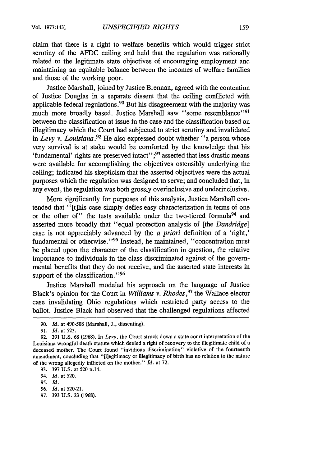claim that there is a right to welfare benefits which would trigger strict scrutiny of the AFDC ceiling and held that the regulation was rationally related to the legitimate state objectives of encouraging employment and maintaining an equitable balance between the incomes of welfare families and those of the working poor.

Justice Marshall, joined by Justice Brennan, agreed with the contention of Justice Douglas in a separate dissent that the ceiling conflicted with applicable federal regulations. 90 But his disagreement with the majority was much more broadly based. Justice Marshall saw "some resemblance"<sup>91</sup> between the classification at issue in the case and the classification based on illegitimacy which the Court had subjected to strict scrutiny and invalidated in *Levy v. Louisiana.92* He also expressed doubt whether "a person whose very survival is at stake would be comforted by the knowledge that his 'fundamental' rights are preserved intact'';<sup>93</sup> asserted that less drastic means were available for accomplishing the objectives ostensibly underlying the ceiling; indicated his skepticism that the asserted objectives were the actual purposes which the regulation was designed to serve; and concluded that, in any event, the regulation was both grossly overinclusive and underinclusive.

More significantly for purposes of this analysis, Justice Marshall contended that "[t]his case simply defies easy characterization in terms of one or the other of" the tests available under the two-tiered formula<sup>94</sup> and asserted more broadly that "equal protection analysis of [the *Dandridge]* case is not appreciably advanced by the *a priori* definition of a 'right,' fundamental or otherwise."<sup>95</sup> Instead, he maintained, "concentration must be placed upon the character of the classification in question, the relative importance to individuals in the class discriminated against of the governmental benefits that they do not receive, and the asserted state interests in support of the classification."<sup>96</sup>

Justice Marshall modeled his approach on the language of Justice Black's opinion for the Court in *Williams v. Rhodes*,<sup>97</sup> the Wallace elector case invalidating Ohio regulations which restricted party access to the ballot. Justice Black had observed that the challenged regulations affected

96. Id. at 520-21.

<sup>90.</sup> *Id.* at 490-508 (Marshall, J., dissenting).

*<sup>91.</sup> Id.* at 523.

**<sup>92.</sup>** 391 **U.S.** 68 (1968). In *Levy,* the Court struck down a state court interpretation of the Louisiana wrongful death statute which denied a right of recovery to the illegitimate child of a deceased mother. The Court found "invidious discrimination" violative of the fourteenth amendment, concluding that "[1]egitimacy or illegitimacy of birth has no relation to the nature of the wrong allegedly inflicted on the mother." *Id.* at 72.

<sup>93. 397</sup> U.S. at 520 n.14.

<sup>94.</sup> **Id.** at 520.

**<sup>95.</sup> Id.**

<sup>97. 393</sup> U.S. 23 (1968).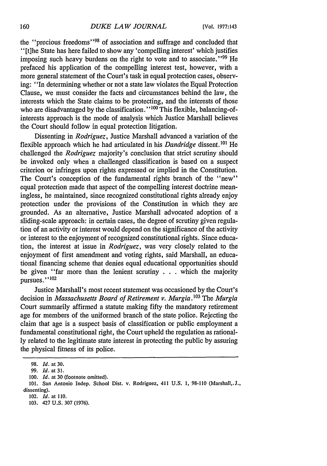the "precious freedoms"<sup>98</sup> of association and suffrage and concluded that "[t]he State has here failed to show any 'compelling interest' which justifies imposing such heavy burdens on the right to vote and to associate."<sup>99</sup> He prefaced his application of the compelling interest test, however, with a more general statement of the Court's task in equal protection cases, observing: "In determining whether or not a state law violates the Equal Protection Clause, we must consider the facts and circumstances behind the law, the interests which the State claims to be protecting, and the interests of those who are disadvantaged by the classification."<sup>100</sup> This flexible, balancing-ofinterests approach is the mode of analysis which Justice Marshall believes the Court should follow in equal protection litigation.

Dissenting in *Rodriguez,* Justice Marshall advanced a variation of the flexible approach which he had articulated in his *Dandridge* dissent. **10'** He challenged the *Rodriguez* majority's conclusion that strict scrutiny should be invoked only when a challenged classification is based on a suspect criterion or infringes upon rights expressed or implied in the Constitution. The Court's conception of the fundamental rights branch of the "new" equal protection made that aspect of the compelling interest doctrine meaningless, he maintained, since recognized constitutional rights already enjoy protection under the provisions of the Constitution in which they are grounded. As an alternative, Justice Marshall advocated adoption of a sliding-scale approach: in certain cases, the degree of scrutiny given regulation of an activity or interest would depend on the significance of the activity or interest to the enjoyment of recognized constitutional rights. Since education, the interest at issue in *Rodriguez,* was very closely related to the enjoyment of first amendment and voting rights, said Marshall, an educational financing scheme that denies equal educational opportunities should be given "far more than the lenient scrutiny  $\ldots$  which the majority pursues."<sup>102</sup>

Justice Marshall's most recent statement was occasioned by the Court's decision in *Massachusetts Board of Retirement v. Murgia.* <sup>103</sup> The *Murgia* Court summarily affirmed a statute making fifty the mandatory retirement age for members of the uniformed branch of the state police. Rejecting the claim that age is a suspect basis of classification or public employment a fundamental constitutional right, the Court upheld the regulation as rationally related to the legitimate state interest in protecting the public by assuring the physical fitness of its police.

<sup>98.</sup> *Id.* at 30.

<sup>99.</sup> **Id.** at **31.**

<sup>100.</sup> *Id.* at 30 (footnote omitted).

<sup>101.</sup> San Antonio Indep. School Dist. v. Rodriguez, 411 **U.S. 1, 98-110** (Marshall,.J., dissenting).

<sup>102.</sup> *Id.* at 110.

**<sup>103.</sup>** 427 **U.S. 307 (1976).**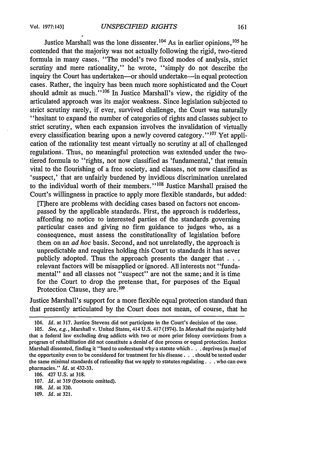Justice Marshall was the lone dissenter.  $104$  As in earlier opinions,  $105$  he contended that the majority was not actually following the rigid, two-tiered formula in many cases. "The model's two fixed modes of analysis, strict scrutiny and mere rationality," he wrote, "simply do not describe the inquiry the Court has undertaken-or should undertake-in equal protection cases. Rather, the inquiry has been much more sophisticated and the Court should admit as much."<sup> $106$ </sup> In Justice Marshall's view, the rigidity of the articulated approach was its major weakness. Since legislation subjected to strict scrutiny rarely, if ever, survived challenge, the Court was naturally "hesitant to expand the number of categories of rights and classes subject to strict scrutiny, when each expansion involves the invalidation of virtually every classification bearing upon a newly covered category." $107$  Yet application of the rationality test meant virtually no scrutiny at all of challenged regulations. Thus, no meaningful protection was extended under the twotiered formula to "rights, not now classified as 'fundamental,' that remain vital to the flourishing of a free society, and classes, not now classified as 'suspect,' that are unfairly burdened by invidious discrimination unrelated to the individual worth of their members."<sup>108</sup> Justice Marshall praised the Court's willingness in practice to apply more flexible standards, but added:

[T]here are problems with deciding cases based on factors not encompassed by the applicable standards. First, the approach is rudderless, affording no notice to interested parties of the standards governing particular cases and giving no firm guidance to judges who, as a consequence, must assess the constitutionality of legislation before them on an *ad hoc* basis. Second, and not unrelatedly, the approach is unpredictable and requires holding this Court to standards it has never publicly adopted. Thus the approach presents the danger **that...** relevant factors will be misapplied or ignored. All interests not "fundamental" and all classes not "suspect" are not the same; and it is time for the Court to drop the pretense that, for purposes of the Equal Protection Clause, they are.<sup>109</sup>

Justice Marshall's support for a more flexible equal protection standard than that presently articulated by the Court does not mean, of course, that he

109. *Id.* at 321.

<sup>104.</sup> *Id.* at 317. Justice Stevens did not participate in the Court's decision of the case.

<sup>105.</sup> *See, e.g.,* Marshall v. United States, 414 U.S. 417 (1974). In *Marshall* the majority held that a federal law excluding drug addicts with two or more prior felony convictions from a program of rehabilitation did not constitute a denial of due process or equal protection. Justice Marshall dissented, finding it "hard to understand why a statute which . . . deprives [a man] of the opportunity even to be considered for treatment for his disease. **. .** should be tested under the same minimal standards of rationality that we apply to statutes regulating. **. .** who can own pharmacies." *Id.* at 432-33.

<sup>106. 427</sup> U.S. at 318.

<sup>107.</sup> *Id.* at 319 (footnote omitted).

<sup>108.</sup> *Id.* at 320.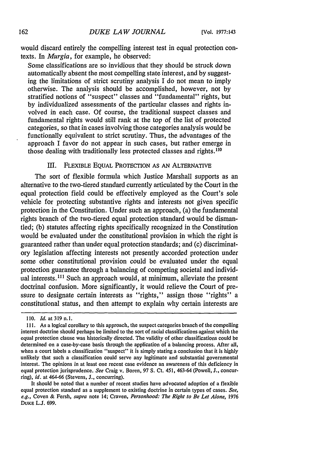would discard entirely the compelling interest test in equal protection contexts. In *Murgia,* for example, he observed:

Some classifications are so invidious that they should be struck down automatically absent the most compelling state interest, and by suggesting the limitations of strict scrutiny analysis I do not mean to imply otherwise. The analysis should be accomplished, however, not by stratified notions of "suspect" classes and "fundamental" rights, but by individualized assessments of the particular classes and rights involved in each case. Of course, the traditional suspect classes and fundamental rights would still rank at the top of the list of protected categories, so that in cases involving those categories analysis would be functionally equivalent to strict scrutiny. Thus, the advantages of the approach I favor do not appear in such cases, but rather emerge in those dealing with traditionally less protected classes and rights. $110$ 

## III. FLEXIBLE EQUAL PROTECTION AS AN ALTERNATIVE

The sort of flexible formula which Justice Marshall supports as an alternative to the two-tiered standard currently articulated by the Court in the equal protection field could be effectively employed as the Court's sole vehicle for protecting substantive rights and interests not given specific protection in the Constitution. Under such an approach, (a) the fundamental rights branch of the two-tiered equal protection standard would be dismantled; (b) statutes affecting rights specifically recognized in the Constitution would be evaluated under the constitutional provision in which the right is guaranteed rather than under equal protection standards; and (c) discriminatory legislation affecting interests not presently accorded protection under some other constitutional provision could be evaluated under the equal protection guarantee through a balancing of competing societal and individual interests.<sup>111</sup> Such an approach would, at minimum, alleviate the present doctrinal confusion. More significantly, it would relieve the Court of pressure to designate certain interests as "rights," assign those "rights" a constitutional status, and then attempt to explain why certain interests are

<sup>110.</sup> *Id.* at 319 n.1.

<sup>111.</sup> As a logical corollary to this approach, the suspect categories branch of the compelling interest doctrine should perhaps be limited to the sort of racial classifications against which the equal protection clause was historically directed. The validity of other classifications could be determined on a case-by-case basis through the application of a balancing process. After all, when a court labels a classification "suspect" it is simply stating a conclusion that it is highly unlikely that such a classification could serve any legitimate and substantial governmental interest. The opinions in at least one recent case evidence an awareness of this deficiency in equal protection jurisprudence. *See* Craig v. Boren, 97 S. Ct. 451, 463-64 (Powell, **J.,** concurring), *id.* at 464-66 (Stevens, **J.,** concurring).

It should be noted that a number of recent studies have advocated adoption of a flexible equal protection standard as a supplement to existing doctrine in certain types of cases. *See, e.g.,* Coven & Fersh, *supra* note 14; Craven, *Personhood: The Right to Be Let Alone,* 1976 **DUKE** L.J. 699.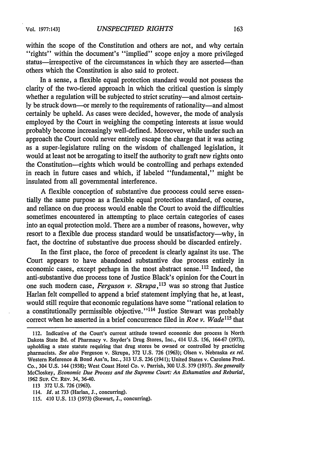within the scope of the Constitution and others are not, and why certain "rights" within the document's "implied" scope enjoy a more privileged status—irrespective of the circumstances in which they are asserted—than others which the Constitution is also said to protect.

In a sense, a flexible equal protection standard would not possess the clarity of the two-tiered approach in which the critical question is simply whether a regulation will be subjected to strict scrutiny—and almost certainly be struck down-or merely to the requirements of rationality-and almost certainly be upheld. As cases were decided, however, the mode of analysis employed by the Court in weighing the competing interests at issue would probably become increasingly well-defined. Moreover, while under such an approach the Court could never entirely escape the charge that it was acting as a super-legislature ruling on the wisdom of challenged legislation, it would at least not be arrogating to itself the authority to graft new rights onto the Constitution-rights which would be controlling and perhaps extended in reach in future cases and which, if labeled "fundamental," might be insulated from all governmental interference.

A flexible conception of substantive due proocess could serve essentially the same purpose as a flexible equal protection standard, of course, and reliance on due process would enable the Court to avoid the difficulties sometimes encountered in attempting to place certain categories of cases into an equal protection mold. There are a number of reasons, however, why resort to a flexible due process standard would be unsatisfactory—why, in fact, the doctrine of substantive due process should be discarded entirely.

In the first place, the force of precedent is clearly against its use. The Court appears to have abandoned substantive due process entirely in economic cases, except perhaps in the most abstract sense. 112 Indeed, the anti-substantive due process tone of Justice Black's opinion for the Court in one such modem case, *Ferguson v. Skrupa,113* was so strong that Justice Harlan felt compelled to append a brief statement implying that he, at least, would still require that economic regulations have some "rational relation to a constitutionally permissible objective."<sup>114</sup> Justice Stewart was probably correct when he asserted in a brief concurrence filed in *Roe v. Wade*<sup>115</sup> that

113 372 U.S. 726 (1963).

<sup>112.</sup> Indicative of the Court's current attitude toward economic due process is North Dakota State Bd. of Pharmacy v. Snyder's Drug Stores, Inc., 414 U.S. 156, 164-67 (1973), upholding a state statute requiring that drug stores be owned or controlled by practicing pharmacists. *See also* Ferguson v. Skrupa, 372 U.S. 726 (1963); Olsen v. Nebraska *ex rel.* Western Reference & Bond Ass'n, Inc., 313 U.S. 236 (1941); United States v. Carolene Prod. Co., 304 U.S. 144 (1938); West Coast Hotel Co. v. Parrish, 300 U.S. 379 (1937). *See generally* McCloskey, *Economic Due Process and the Supreme Court: An Exhumation and Reburial,* 1962 Sup. CT. REv. 34, 36-40.

<sup>114.</sup> *Id.* at 733 (Harlan, **J.,** concurring).

<sup>115. 410</sup> U.S. 113 (1973) (Stewart, **J.,** concurring).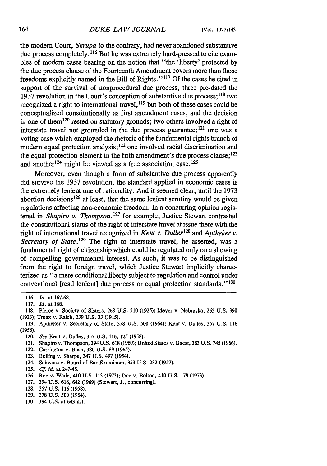the modern Court, *Skrupa* to the contrary, had never abandoned substantive due process completely. **116** But he was extremely hard-pressed to cite examples of modern cases bearing on the notion that "the 'liberty' protected by the due process clause of the Fourteenth Amendment covers more than those freedoms explicitly named in the Bill of Rights." **117 Of** the cases he cited in support of the survival of nonprocedural due process, three pre-dated the 1937 revolution in the Court's conception of substantive due process; **18** two recognized a right to international travel,  $^{119}$  but both of these cases could be conceptualized constitutionally as first amendment cases, and the decision in one of them120 rested on statutory grounds; two others involved a right of interstate travel not grounded in the due process guarantee; 121 one was a voting case which employed the rhetoric of the fundamental rights branch of modern equal protection analysis; 122 one involved racial discrimination and the equal protection element in the fifth amendment's due process clause;<sup>123</sup> and another  $124$  might be viewed as a free association case.<sup>125</sup>

Moreover, even though a form of substantive due process apparently did survive the 1937 revolution, the standard applied in economic cases is the extremely lenient one of rationality. And it seemed clear, until the 1973 abortion decisions<sup>126</sup> at least, that the same lenient scrutiny would be given regulations affecting non-economic freedom. In a concurring opinion registered in *Shapiro v. Thompson,127* for example, Justice Stewart contrasted the constitutional status of the right of interstate travel at issue there with the right of international travel recognized in *Kent v. Dulles128 and Aptheker v. Secretary of State.* <sup>129</sup> The right to interstate travel, he asserted, was a fundamental right of citizenship which could be regulated only on a showing of compelling governmental interest. As such, it was to be distinguished from the right to foreign travel, which Justice Stewart implicitly characterized as "a mere conditional liberty subject to regulation and control under conventional [read lenient] due process or equal protection standards." **1 30**

- 121. Shapiro v. Thompson, 394 U.S. 618 (1969); United States v. Guest, 383 U.S. 745 (1966).
- 122. Carrington v. Rash, 380 U.S. 89 (1965).
- 123. Boiling v. Sharpe, 347 U.S. 497 (1954).
- 124. Schware v. Board of Bar Examiners, 353 U.S. 232 (1957).
- 125. *Cf. id.* at 247-48.
- 126. Roe v. Wade, 410 U.S. 113 (1973); Doe v. Bolton, 410 U.S. 179 (1973).
- 127. 394 U.S. 618, 642 (1969) (Stewart, J., concurring).
- 128. 357 U.S. 116 (1958).
- 129. 378 U.S. 500 (1964).
- 130. 394 U.S. at 643 n.1.

<sup>116.</sup> *Id.* at 167-68.

<sup>117.</sup> *Id.* at 168.

<sup>118.</sup> Pierce v. Society of Sisters, 268 U.S. 510 (1925); Meyer v. Nebraska, 262 U.S. 390 (1923); Truax v. Raich, 239 U.S. 33 (1915).

<sup>119.</sup> Aptheker v. Secretary of State, 378 U.S. 500 (1964); Kent v. Dulles, 357 U.S. 116 (1958).

<sup>120.</sup> *See* Kent v. Dulles, 357 U.S. 116, 125 (1958).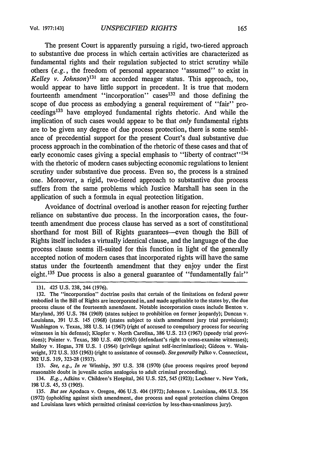The present Court is apparently pursuing a rigid, two-tiered approach to substantive due process in which certain activities are characterized as fundamental rights and their regulation subjected to strict scrutiny while others (e.g., the freedom of personal appearance "assumed" to exist in *Kelley v. Johnson)13I* are accorded meager status. This approach, too, would appear to have little support in precedent. It is true that modern fourteenth amendment "incorporation" cases<sup>132</sup> and those defining the scope of due process as embodying a general requirement of "fair" proceedings<sup>133</sup> have employed fundamental rights rhetoric. And while the implication of such cases would appear to be that *only* fundamental rights are to be given any degree of due process protection, there is some semblance of precedential support for the present Court's dual substantive due process approach in the combination of the rhetoric of these cases and that of early economic cases giving a special emphasis to "liberty of contract"<sup>134</sup> with the rhetoric of modern cases subjecting economic regulations to lenient scrutiny under substantive due process. Even so, the process is a strained one. Moreover, a rigid, two-tiered approach to substantive due process suffers from the same problems which Justice Marshall has seen in the application of such a formula in equal protection litigation.

Avoidance of doctrinal overload is another reason for rejecting further reliance on substantive due process. In the incorporation cases, the fourteenth amendment due process clause has served as a sort of constitutional shorthand for most Bill of Rights guarantees—even though the Bill of Rights itself includes a virtually identical clause, and the language of the due process clause seems ill-suited for this function in light of the generally accepted notion of modern cases that incorporated rights will have the same status under the fourteenth amendment that they enjoy under the first eight.<sup>135</sup> Due process is also a general guarantee of "fundamentally fair"

<sup>131. 425</sup> U.S. 238, 244 (1976).

<sup>132.</sup> The "incorporation" doctrine posits that certain of the limitations on federal power embodied in the Bill of Rights are incorporated in, and made applicable to the states by, the due process clause of the fourteenth amendment. Notable incorporation cases include Benton v. Maryland, 395 U.S. 784 (1969) (states subject to prohibition on former jeopardy); Duncan v. Louisiana, 391 U.S. 145 (1968) (states subject to sixth amendment jury trial provisions); Washington v. Texas, 388 U.S. 14 (1967) (right of accused to compulsory process for securing witnesses in his defense); Klopfer v. North Carolina, 386 U.S. 213 (1967) (speedy trial provisions); Pointer v. Texas, 380 U.S. 400 (1965) (defendant's right to cross-examine witnesses); Malloy v. Hogan, 378 U.S. 1 (1964) (privilege against self-incrimination); Gideon v. Wainwright, 372 U.S. 335 (1963) (right to assistance of counsel). *See generally* Palko v. Connecticut, 302 U.S. 319, 323-28 (1937).

<sup>133.</sup> *See, e.g., In re* Winship, 397 U.S. 358 (1970) (due process requires proof beyond reasonable doubt in juvenile action analogous to adult criminal proceeding).

<sup>134.</sup> *E.g.,* Adkins v. Children's Hospital, 261 U.S. 525, 545 (1923); Lochner v. New York, 198 U.S. 45, 53 (1905).

<sup>135.</sup> *But see* Apodaca v. Oregon, 406 U.S. 404 (1972); Johnson v. Louisiana, 406 U.S. 356 (1972) (upholding against sixth amendment, due process and equal protection claims Oregon and Louisiana laws which permitted criminal conviction by less-than-unanimous jury).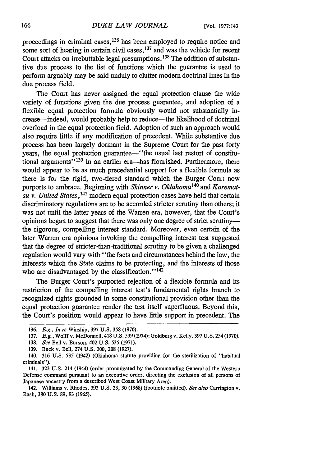proceedings in criminal cases, 136 has been employed to require notice and some sort of hearing in certain civil cases, <sup>137</sup> and was the vehicle for recent Court attacks on irrebuttable legal presumptions. **1 <sup>3</sup>**The addition of substantive due process to the list of functions which the guarantee is used to perform arguably may be said unduly to clutter modern doctrinal lines in the due process field.

The Court has never assigned the equal protection clause the wide variety of functions given the due process guarantee, and adoption of a flexible equal protection formula obviously would not substantially increase-indeed, would probably help to reduce-the likelihood of doctrinal overload in the equal protection field. Adoption of such an approach would also require little if any modification of precedent. While substantive due process has been largely dormant in the Supreme Court for the past forty years, the equal protection guarantee—"the usual last restort of constitutional arguments"<sup>139</sup> in an earlier era-has flourished. Furthermore, there would appear to be as much precedential support for a flexible formula as there is for the rigid, two-tiered standard which the Burger Court now purports to embrace. Beginning with *Skinner v. Oklahoma140* and *Korematsu v. United States*,<sup>141</sup> modern equal protection cases have held that certain discriminatory regulations are to be accorded stricter scrutiny than others; it was not until the latter years of the Warren era, however, that the Court's opinions began to suggest that there was only one degree of strict scrutinythe rigorous, compelling interest standard. Moreover, even certain of the later Warren era opinions invoking the compelling interest test suggested that the degree of stricter-than-traditional scrutiny to be given a challenged regulation would vary with "the facts and circumstances behind the law, the interests which the State claims to be protecting, and the interests of those who are disadvantaged by the classification." $142$ 

The Burger Court's purported rejection of a flexible formula and its restriction of the compelling interest test's fundamental rights branch to recognized rights grounded in some constitutional provision other than the equal protection guarantee render the test itself superfluous. Beyond this, the Court's position would appear to have little support in precedent. The

<sup>136.</sup> *E.g., In re* Winship, 397 U.S. 358 (1970).

<sup>137.</sup> *E.g.,* Wolff v. McDonnell, 418 U.S. 539 (1974); Goldberg v. Kelly, 397 U.S. 254 (1970).

<sup>138.</sup> *See* Bell v. Burson, 402 U.S. *535* (1971).

<sup>139.</sup> Buck v. Bell, 274 U.S. 200, 208 (1927).

<sup>140. 316</sup> U.S. 535 (1942) (Oklahoma statute providing for the sterilization of "habitual criminals").

<sup>141. 323</sup> U.S. 214 (1944) (order promulgated by the Commanding General of the Western Defense command pursuant to an executive order, directing the exclusion of all persons of Japanese ancestry from a described West Coast Military Area).

<sup>142.</sup> Williams v. Rhodes, 393 U.S. 23, 30 (1968) (footnote omitted). *See also* Carrington v. Rash, 380 U.S. 89, 93 (1965).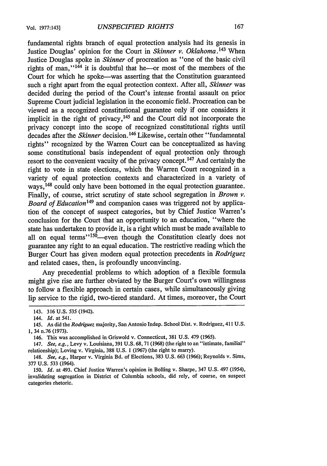fundamental rights branch of equal protection analysis had its genesis in Justice Douglas' opinion for the Court in *Skinner v. Oklahoma*.<sup>143</sup> When Justice Douglas spoke in *Skinner* of procreation as "one of the basic civil rights of man," $144$  it is doubtful that he--or most of the members of the Court for which he spoke-was asserting that the Constitution guaranteed such a right apart from the equal protection context. After all, *Skinner* was decided during the period of the Court's intense frontal assault on prior Supreme Court judicial legislation in the economic field. Procreation can be viewed as a recognized constitutional guarantee only if one considers it implicit in the right of privacy,<sup>145</sup> and the Court did not incorporate the privacy concept into the scope of recognized constitutional rights until decades after the *Skinner* decision. 146 Likewise, certain other "fundamental rights" recognized by the Warren Court can be conceptualized as having some constitutional basis independent of equal protection only through resort to the convenient vacuity of the privacy concept. 147 And certainly the right to vote in state elections, which the Warren Court recognized in a variety of equal protection contexts and characterized in a variety of ways,<sup>148</sup> could only have been bottomed in the equal protection guarantee. Finally, of course, strict scrutiny of state school segregation in *Brown v. Board of Education'49* and companion cases was triggered not by application of the concept of suspect categories, but by Chief Justice Warren's conclusion for the Court that an opportunity to an education, "where the state has undertaken to provide it, is a right which must be made available to all on equal terms" <sup>150</sup> -even though the Constitution clearly does not guarantee any right to an equal education. The restrictive reading which the Burger Court has given modem equal protection precedents in *Rodriguez* and related cases, then, is profoundly unconvincing.

Any precedential problems to which adoption of a flexible formula might give rise are further obviated by the Burger Court's own willingness to follow a flexible approach in certain cases, while simultaneously giving lip service to the rigid, two-tiered standard. At times, moreover, the Court

<sup>143. 316</sup> U.S. 535 (1942).

<sup>144.</sup> *Id.* at 541.

<sup>145.</sup> As did the *Rodriguez* majority, San Antonio Indep. School Dist. v. Rodriguez, 411 U.S. 1, 34 n.76 (1973).

<sup>146.</sup> This was accomplished in Griswold v. Connecticut, 381 U.S. 479 (1965).

<sup>147.</sup> *See, e.g.,* Levy v. Louisiana, 391 U.S. 68,71 (1968) (the right to an "intimate, familial" relationship); Loving v. Virginia, 388 U.S. 1 (1967) (the right to marry).

<sup>148.</sup> *See, e.g.,* Harper v. Virginia Bd. of Elections, 383 U.S. 663 (1966); Reynolds v. Sims, 377 **U.S.** 533 (1964).

<sup>150.</sup> *Id.* at 493. Chief Justice Warren's opinion in Boiling v. Sharpe, 347 U.S. 497 (1954), invalidating segregation in District of Columbia schools, did rely, of course, on suspect categories rhetoric.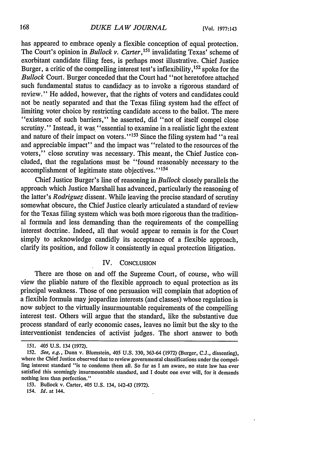has appeared to embrace openly a flexible conception of equal protection. The Court's opinion in *Bullock v. Carter*,<sup>151</sup> invalidating Texas' scheme of exorbitant candidate filing fees, is perhaps most illustrative. Chief Justice Burger, a critic of the compelling interest test's inflexibility,  $152$  spoke for the *Bullock* Court. Burger conceded that the Court had "not heretofore attached such fundamental status to candidacy as to invoke a rigorous standard of review." He added, however, that the rights of voters and candidates could not be neatly separated and that the Texas filing system had the effect of limiting voter choice by restricting candidate access to the ballot. The mere "existence of such barriers," he asserted, did "not of itself compel close scrutiny." Instead, it was "essential to examine in a realistic light the extent and nature of their impact on voters."<sup>153</sup> Since the filing system had "a real and appreciable impact" and the impact was "related to the resources of the voters," close scrutiny was necessary. This meant, the Chief Justice concluded, that the regulations must be "found reasonably necessary to the accomplishment of legitimate state objectives." *1 54*

Chief Justice Burger's line of reasoning in *Bullock* closely parallels the approach which Justice Marshall has advanced, particularly the reasoning of the latter's *Rodriguez* dissent. While leaving the precise standard of scrutiny somewhat obscure, the Chief Justice clearly articulated a standard of review for the Texas filing system which was both more rigorous than the traditional formula and less demanding than the requirements of the compelling interest doctrine. Indeed, all that would appear to remain is for the Court simply to acknowledge candidly its acceptance of a flexible approach, clarify its position, and follow it consistently in equal protection litigation.

# IV. CONCLUSION

There are those on and off the Supreme Court, of course, who will view the pliable nature of the flexible approach to equal protection as its principal weakness. Those of one persuasion will complain that adoption of a flexible formula may jeopardize interests (and classes) whose regulation is now subject to the virtually insurmountable requirements of the compelling interest test. Others will argue that the standard, like the substantive due process standard of early economic cases, leaves no limit but the sky to the interventionist tendencies of activist judges. The short answer to both

<sup>151.</sup> *405* U.S. 134 (1972).

*<sup>152.</sup> See, e.g.,* Dunn v. Blumstein, 405 U.S. 330, 363-64 (1972) (Burger, C.J., dissenting), where the Chief Justice observed that to review governmental classifications under the compelling interest standard "is to condemn them all. So far as I am aware, no state law has ever satisfied this seemingly insurmountable standard, and I doubt one ever will, for it demands nothing less than perfection."

<sup>153.</sup> Bullock v. Carter, 405 U.S. 134, 142-43 (1972).

<sup>154.</sup> *Id.* at 144.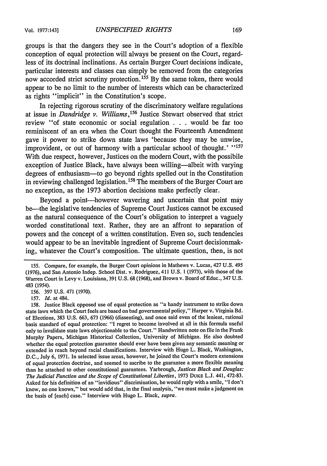groups is that the dangers they see in the Court's adoption of a flexible conception of equal protection will always be present on the Court, regardless of its doctrinal inclinations. As certain Burger Court decisions indicate, particular interests and classes can simply be removed from the categories now accorded strict scrutiny protection.  $155$  By the same token, there would appear to be no limit to the number of interests which can be characterized as rights "implicit" in the Constitution's scope.

In rejecting rigorous scrutiny of the discriminatory welfare regulations at issue in *Dandridge v. Williams*,<sup>156</sup> Justice Stewart observed that strict review "of state economic or social regulation . . .would be far too reminiscent of an era when the Court thought the Fourteenth Amendment gave it power to strike down state laws 'because they may be unwise, improvident, or out of harmony with a particular school of thought.' ''<sup>157</sup> With due respect, however, Justices on the modern Court, with the possibile exception of Justice Black, have always been willing—albeit with varying degrees of enthusiasm-to go beyond rights spelled out in the Constitution in reviewing challenged legislation.<sup>158</sup> The members of the Burger Court are no exception, as the 1973 abortion decisions make perfectly clear.

Beyond a point-however wavering and uncertain that point may be-the legislative tendencies of Supreme Court Justices cannot be excused as the natural consequence of the Court's obligation to interpret a vaguely worded constitutional text. Rather, they are an affront to separation of powers and the concept of a written constitution. Even so, such tendencies would appear to be an inevitable ingredient of Supreme Court decisionmaking, whatever the Court's composition. The ultimate question, then, is not

156. 397 U.S. 471 (1970).

157. *Id.* at 484.

<sup>155.</sup> Compare, for example, the Burger Court opinions in Mathews v. Lucas, 427 U.S. 495 (1976), and San Antonio Indep. School Dist. v. Rodriguez, 411 U.S. **1** (1973), with those of the Warren Court in Levy v. Louisiana, 391 U.S. 68 (1968), and Brown v. Board of Educ., 347 U.S. 483 (1954).

<sup>158.</sup> Justice Black opposed use of equal protection as "a handy instrument to strike down state laws which the Court feels are based on bad governmental policy," Harper v. Virginia Bd. of Elections, 383 U:S. 663, 673 (1966) (dissenting), and once said even of the lenient, rational basis standard of equal protection: "I regret to become involved at all in this formula useful only to invalidate state laws objectionable to the Court." Handwritten note on file in the Frank Murphy Papers, Michigan Historical Collection, University of Michigan. He also doubted whether the equal protection guarantee should ever have been given any semantic meaning or extended in reach beyond racial classifications. Interview with Hugo L. Black, Washington, D.C., July 6, 1971. In selected issue areas, however, he joined the Court's modern extensions of equal protection doctrine, and seemed to ascribe to the guarantee a more flexible meaning than he attached to other constitutional guarantees. Yarbrough, *Justices Black and Douglas: The Judicial Function and the Scope of Constitutional Liberties,* 1973 **DUKE** L.J. 441,472-83. Asked for his definition of an "invidious" discrimination, he would reply with a smile, "I don't know, no one knows," but would add that, in the final analysis, "we must make a judgment on the basis of [each] case." Interview with Hugo L. Black, *supra.*